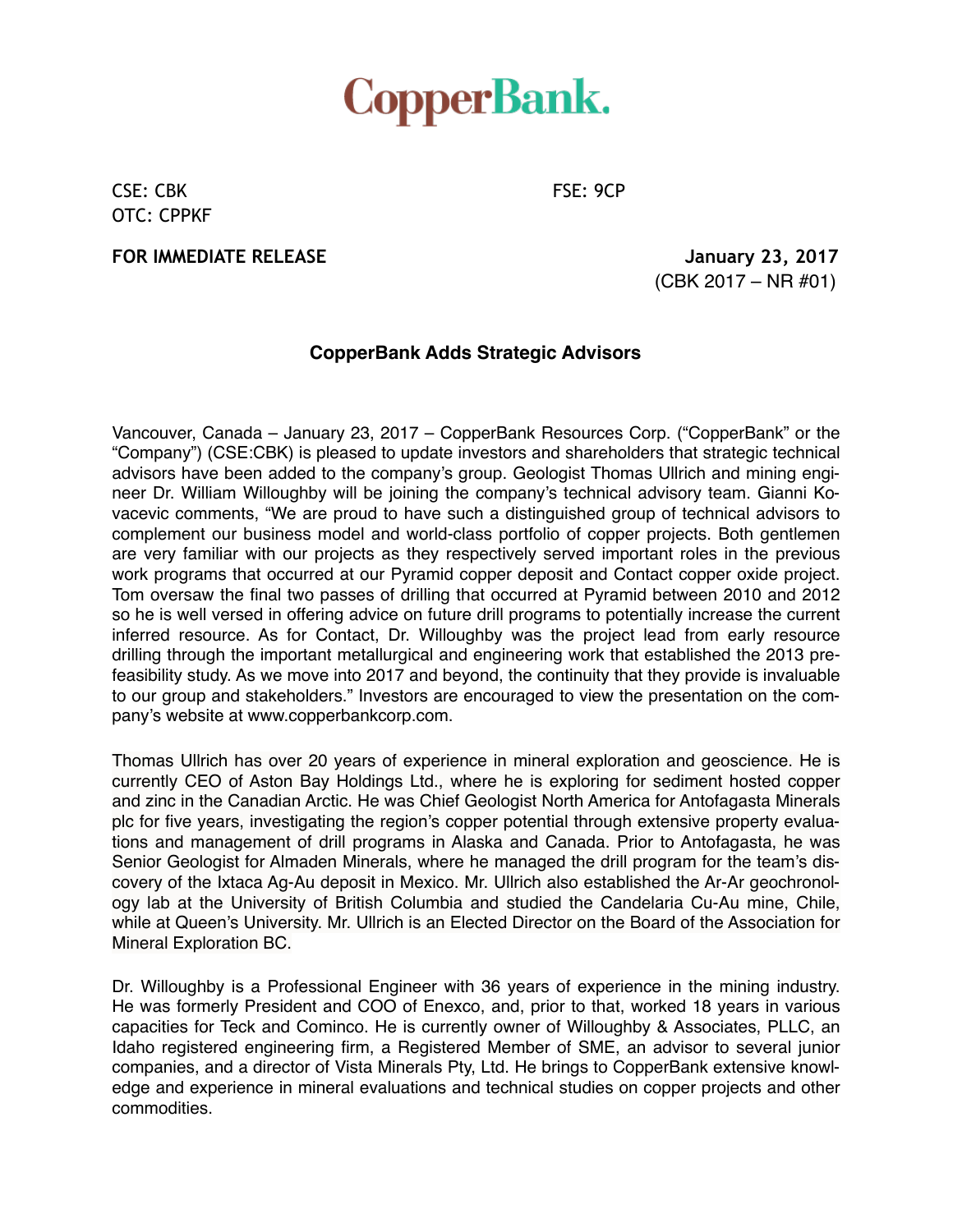## **CopperBank.**

CSE: CBK FSE: 9CP OTC: CPPKF

**FOR IMMEDIATE RELEASE** *ACCEPTED ACCEPTED ACCEPTED ACCEPTED ACCEPTED ACCEPTED ACCEPTED ACCEPTED ACCEPTED ACCEPTED ACCEPTED ACCEPTED ACCEPTED ACCEPTED ACCEPTED ACCEPTED ACCEPTED ACCEPTED ACCEPTED ACCEPTED ACCEPTED ACCEPTE* 

(CBK 2017 – NR #01)

## **CopperBank Adds Strategic Advisors**

Vancouver, Canada – January 23, 2017 – CopperBank Resources Corp. ("CopperBank" or the "Company") (CSE:CBK) is pleased to update investors and shareholders that strategic technical advisors have been added to the company's group. Geologist Thomas Ullrich and mining engineer Dr. William Willoughby will be joining the company's technical advisory team. Gianni Kovacevic comments, "We are proud to have such a distinguished group of technical advisors to complement our business model and world-class portfolio of copper projects. Both gentlemen are very familiar with our projects as they respectively served important roles in the previous work programs that occurred at our Pyramid copper deposit and Contact copper oxide project. Tom oversaw the final two passes of drilling that occurred at Pyramid between 2010 and 2012 so he is well versed in offering advice on future drill programs to potentially increase the current inferred resource. As for Contact, Dr. Willoughby was the project lead from early resource drilling through the important metallurgical and engineering work that established the 2013 prefeasibility study. As we move into 2017 and beyond, the continuity that they provide is invaluable to our group and stakeholders." Investors are encouraged to view the presentation on the company's website at www.copperbankcorp.com.

Thomas Ullrich has over 20 years of experience in mineral exploration and geoscience. He is currently CEO of Aston Bay Holdings Ltd., where he is exploring for sediment hosted copper and zinc in the Canadian Arctic. He was Chief Geologist North America for Antofagasta Minerals plc for five years, investigating the region's copper potential through extensive property evaluations and management of drill programs in Alaska and Canada. Prior to Antofagasta, he was Senior Geologist for Almaden Minerals, where he managed the drill program for the team's discovery of the Ixtaca Ag-Au deposit in Mexico. Mr. Ullrich also established the Ar-Ar geochronology lab at the University of British Columbia and studied the Candelaria Cu-Au mine, Chile, while at Queen's University. Mr. Ullrich is an Elected Director on the Board of the Association for Mineral Exploration BC.

Dr. Willoughby is a Professional Engineer with 36 years of experience in the mining industry. He was formerly President and COO of Enexco, and, prior to that, worked 18 years in various capacities for Teck and Cominco. He is currently owner of Willoughby & Associates, PLLC, an Idaho registered engineering firm, a Registered Member of SME, an advisor to several junior companies, and a director of Vista Minerals Pty, Ltd. He brings to CopperBank extensive knowledge and experience in mineral evaluations and technical studies on copper projects and other commodities.